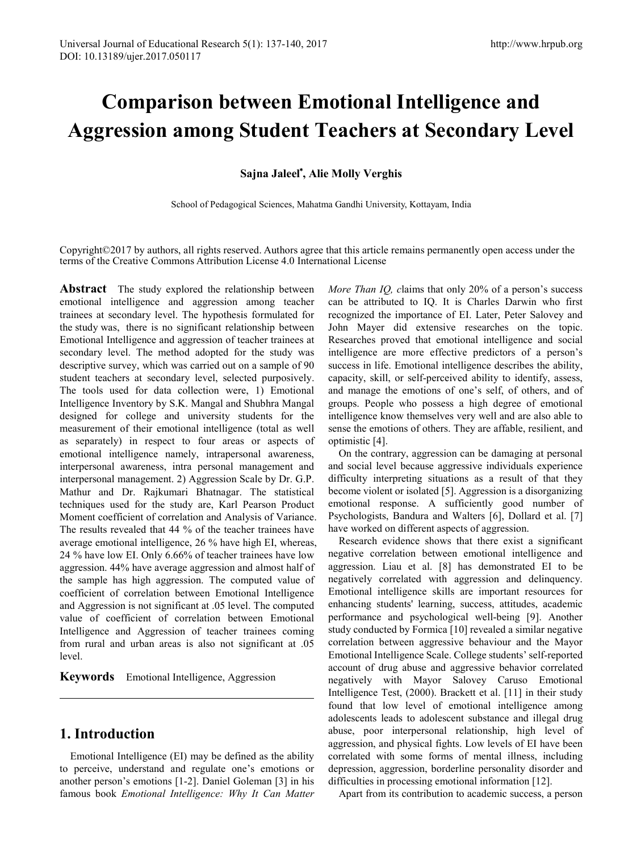# **Comparison between Emotional Intelligence and Aggression among Student Teachers at Secondary Level**

### **Sajna Jaleel**\* **, Alie Molly Verghis**

School of Pedagogical Sciences, Mahatma Gandhi University, Kottayam, India

Copyright©2017 by authors, all rights reserved. Authors agree that this article remains permanently open access under the terms of the Creative Commons Attribution License 4.0 International License

**Abstract** The study explored the relationship between emotional intelligence and aggression among teacher trainees at secondary level. The hypothesis formulated for the study was, there is no significant relationship between Emotional Intelligence and aggression of teacher trainees at secondary level. The method adopted for the study was descriptive survey, which was carried out on a sample of 90 student teachers at secondary level, selected purposively. The tools used for data collection were, 1) Emotional Intelligence Inventory by S.K. Mangal and Shubhra Mangal designed for college and university students for the measurement of their emotional intelligence (total as well as separately) in respect to four areas or aspects of emotional intelligence namely, intrapersonal awareness, interpersonal awareness, intra personal management and interpersonal management. 2) Aggression Scale by Dr. G.P. Mathur and Dr. Rajkumari Bhatnagar. The statistical techniques used for the study are, Karl Pearson Product Moment coefficient of correlation and Analysis of Variance. The results revealed that 44 % of the teacher trainees have average emotional intelligence, 26 % have high EI, whereas, 24 % have low EI. Only 6.66% of teacher trainees have low aggression. 44% have average aggression and almost half of the sample has high aggression. The computed value of coefficient of correlation between Emotional Intelligence and Aggression is not significant at .05 level. The computed value of coefficient of correlation between Emotional Intelligence and Aggression of teacher trainees coming from rural and urban areas is also not significant at .05 level.

**Keywords**Emotional Intelligence, Aggression

# **1. Introduction**

Emotional Intelligence (EI) may be defined as the ability to perceive, understand and regulate one's emotions or another person's emotions [1-2]. Daniel Goleman [3] in his famous book *Emotional Intelligence: Why It Can Matter*  *More Than IQ, claims that only 20% of a person's success* can be attributed to IQ. It is Charles Darwin who first recognized the importance of EI. Later, Peter Salovey and John Mayer did extensive researches on the topic. Researches proved that emotional intelligence and social intelligence are more effective predictors of a person's success in life. Emotional intelligence describes the ability, capacity, skill, or self-perceived ability to identify, assess, and manage the emotions of one's self, of others, and of groups. People who possess a high degree of emotional intelligence know themselves very well and are also able to sense the emotions of others. They are affable, resilient, and optimistic [4].

On the contrary, aggression can be damaging at personal and social level because aggressive individuals experience difficulty interpreting situations as a result of that they become violent or isolated [5]. Aggression is a disorganizing emotional response. A sufficiently good number of Psychologists, Bandura and Walters [6], Dollard et al. [7] have worked on different aspects of aggression.

Research evidence shows that there exist a significant negative correlation between emotional intelligence and aggression. Liau et al. [8] has demonstrated EI to be negatively correlated with aggression and delinquency. Emotional intelligence skills are important resources for enhancing students' learning, success, attitudes, academic performance and psychological well-being [9]. Another study conducted by Formica [10] revealed a similar negative correlation between aggressive behaviour and the Mayor Emotional Intelligence Scale. College students' self-reported account of drug abuse and aggressive behavior correlated negatively with Mayor Salovey Caruso Emotional Intelligence Test, (2000). Brackett et al. [11] in their study found that low level of emotional intelligence among adolescents leads to adolescent substance and illegal drug abuse, poor interpersonal relationship, high level of aggression, and physical fights. Low levels of EI have been correlated with some forms of mental illness, including depression, aggression, borderline personality disorder and difficulties in processing emotional information [12].

Apart from its contribution to academic success, a person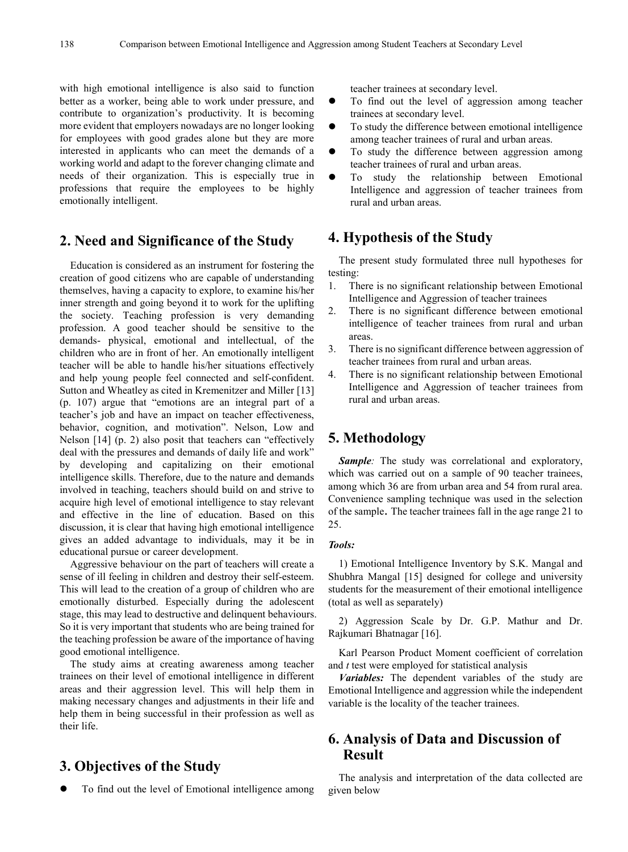with high emotional intelligence is also said to function better as a worker, being able to work under pressure, and contribute to organization's productivity. It is becoming more evident that employers nowadays are no longer looking for employees with good grades alone but they are more interested in applicants who can meet the demands of a working world and adapt to the forever changing climate and needs of their organization. This is especially true in professions that require the employees to be highly emotionally intelligent.

# **2. Need and Significance of the Study**

Education is considered as an instrument for fostering the creation of good citizens who are capable of understanding themselves, having a capacity to explore, to examine his/her inner strength and going beyond it to work for the uplifting the society. Teaching profession is very demanding profession. A good teacher should be sensitive to the demands- physical, emotional and intellectual, of the children who are in front of her. An emotionally intelligent teacher will be able to handle his/her situations effectively and help young people feel connected and self-confident. Sutton and Wheatley as cited in Kremenitzer and Miller [13] (p. 107) argue that "emotions are an integral part of a teacher's job and have an impact on teacher effectiveness, behavior, cognition, and motivation". Nelson, Low and Nelson [14] (p. 2) also posit that teachers can "effectively deal with the pressures and demands of daily life and work" by developing and capitalizing on their emotional intelligence skills. Therefore, due to the nature and demands involved in teaching, teachers should build on and strive to acquire high level of emotional intelligence to stay relevant and effective in the line of education. Based on this discussion, it is clear that having high emotional intelligence gives an added advantage to individuals, may it be in educational pursue or career development.

Aggressive behaviour on the part of teachers will create a sense of ill feeling in children and destroy their self-esteem. This will lead to the creation of a group of children who are emotionally disturbed. Especially during the adolescent stage, this may lead to destructive and delinquent behaviours. So it is very important that students who are being trained for the teaching profession be aware of the importance of having good emotional intelligence.

The study aims at creating awareness among teacher trainees on their level of emotional intelligence in different areas and their aggression level. This will help them in making necessary changes and adjustments in their life and help them in being successful in their profession as well as their life.

# **3. Objectives of the Study**

To find out the level of Emotional intelligence among

teacher trainees at secondary level.

- To find out the level of aggression among teacher trainees at secondary level.
- To study the difference between emotional intelligence among teacher trainees of rural and urban areas.
- To study the difference between aggression among teacher trainees of rural and urban areas.
- To study the relationship between Emotional Intelligence and aggression of teacher trainees from rural and urban areas.

### **4. Hypothesis of the Study**

The present study formulated three null hypotheses for testing:

- 1. There is no significant relationship between Emotional Intelligence and Aggression of teacher trainees
- 2. There is no significant difference between emotional intelligence of teacher trainees from rural and urban areas.
- 3. There is no significant difference between aggression of teacher trainees from rural and urban areas.
- 4. There is no significant relationship between Emotional Intelligence and Aggression of teacher trainees from rural and urban areas.

# **5. Methodology**

*Sample*: The study was correlational and exploratory, which was carried out on a sample of 90 teacher trainees, among which 36 are from urban area and 54 from rural area. Convenience sampling technique was used in the selection of the sample. The teacher trainees fall in the age range 21 to 25.

#### *Tools:*

1) Emotional Intelligence Inventory by S.K. Mangal and Shubhra Mangal [15] designed for college and university students for the measurement of their emotional intelligence (total as well as separately)

2) Aggression Scale by Dr. G.P. Mathur and Dr. Rajkumari Bhatnagar [16].

Karl Pearson Product Moment coefficient of correlation and *t* test were employed for statistical analysis

*Variables:* The dependent variables of the study are Emotional Intelligence and aggression while the independent variable is the locality of the teacher trainees.

# **6. Analysis of Data and Discussion of Result**

The analysis and interpretation of the data collected are given below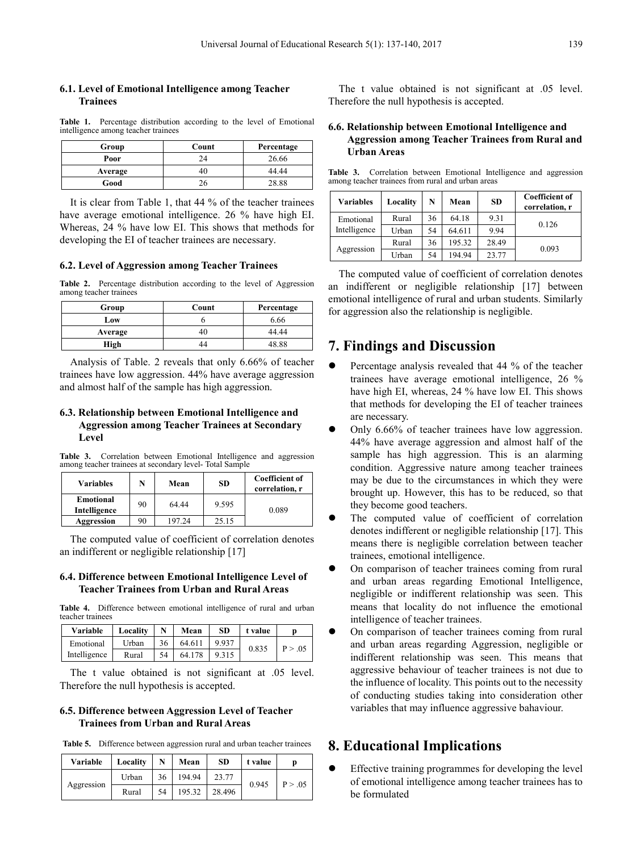### **6.1. Level of Emotional Intelligence among Teacher Trainees**

**Table 1.** Percentage distribution according to the level of Emotional intelligence among teacher trainees

| Group   | Count  | Percentage |  |
|---------|--------|------------|--|
| Poor    | $2\pi$ | 26.66      |  |
| Average |        | 44.44      |  |
| Good    |        | 28.88      |  |

It is clear from Table 1, that 44 % of the teacher trainees have average emotional intelligence. 26 % have high EI. Whereas, 24 % have low EI. This shows that methods for developing the EI of teacher trainees are necessary.

#### **6.2. Level of Aggression among Teacher Trainees**

**Table 2.** Percentage distribution according to the level of Aggression among teacher trainees

| Group   | Count | Percentage |  |
|---------|-------|------------|--|
| Low     |       | 6.66       |  |
| Average | 40    | 44.44      |  |
| High    | 44    | 48.88      |  |

Analysis of Table. 2 reveals that only 6.66% of teacher trainees have low aggression. 44% have average aggression and almost half of the sample has high aggression.

### **6.3. Relationship between Emotional Intelligence and Aggression among Teacher Trainees at Secondary Level**

**Table 3.** Correlation between Emotional Intelligence and aggression among teacher trainees at secondary level- Total Sample

| <b>Variables</b>                 | N  | Mean   | <b>SD</b> | <b>Coefficient of</b><br>correlation, r |
|----------------------------------|----|--------|-----------|-----------------------------------------|
| <b>Emotional</b><br>Intelligence | 90 | 64.44  | 9.595     | 0.089                                   |
| Aggression                       | 90 | 197.24 | 25.15     |                                         |

The computed value of coefficient of correlation denotes an indifferent or negligible relationship [17]

### **6.4. Difference between Emotional Intelligence Level of Teacher Trainees from Urban and Rural Areas**

**Table 4.** Difference between emotional intelligence of rural and urban teacher trainees

| Variable     | Locality   N |                 | Mean   | SD.   | t value |         |
|--------------|--------------|-----------------|--------|-------|---------|---------|
| Emotional    | Urban        | 36 <sup>1</sup> | 64.611 | 9.937 | 0.835   | P > .05 |
| Intelligence | Rural        | .54             | 64.178 | 9.315 |         |         |

The t value obtained is not significant at .05 level. Therefore the null hypothesis is accepted.

### **6.5. Difference between Aggression Level of Teacher Trainees from Urban and Rural Areas**

**Table 5.** Difference between aggression rural and urban teacher trainees

| Variable   | Locality |    | Mean   | SD.    | t value |         |
|------------|----------|----|--------|--------|---------|---------|
| Aggression | Urban    | 36 | 194.94 |        | 0.945   | P > .05 |
|            | Rural    | 54 | 195.32 | 28.496 |         |         |

The t value obtained is not significant at .05 level. Therefore the null hypothesis is accepted.

### **6.6. Relationship between Emotional Intelligence and Aggression among Teacher Trainees from Rural and Urban Areas**

**Table 3.** Correlation between Emotional Intelligence and aggression among teacher trainees from rural and urban areas

| <b>Variables</b> | Locality | N  | Mean   | <b>SD</b> | <b>Coefficient of</b><br>correlation, r |  |
|------------------|----------|----|--------|-----------|-----------------------------------------|--|
| Emotional        | Rural    | 36 | 64.18  | 9.31      | 0.126                                   |  |
| Intelligence     | Urban    | 54 | 64.611 | 9.94      |                                         |  |
| Aggression       | Rural    | 36 | 195.32 | 28.49     |                                         |  |
|                  | Urban    | 54 | 194.94 | 23.77     | 0.093                                   |  |

The computed value of coefficient of correlation denotes an indifferent or negligible relationship [17] between emotional intelligence of rural and urban students. Similarly for aggression also the relationship is negligible.

### **7. Findings and Discussion**

- Percentage analysis revealed that 44 % of the teacher trainees have average emotional intelligence, 26 % have high EI, whereas, 24 % have low EI. This shows that methods for developing the EI of teacher trainees are necessary.
- Only 6.66% of teacher trainees have low aggression. 44% have average aggression and almost half of the sample has high aggression. This is an alarming condition. Aggressive nature among teacher trainees may be due to the circumstances in which they were brought up. However, this has to be reduced, so that they become good teachers.
- The computed value of coefficient of correlation denotes indifferent or negligible relationship [17]. This means there is negligible correlation between teacher trainees, emotional intelligence.
- On comparison of teacher trainees coming from rural and urban areas regarding Emotional Intelligence, negligible or indifferent relationship was seen. This means that locality do not influence the emotional intelligence of teacher trainees.
- On comparison of teacher trainees coming from rural and urban areas regarding Aggression, negligible or indifferent relationship was seen. This means that aggressive behaviour of teacher trainees is not due to the influence of locality. This points out to the necessity of conducting studies taking into consideration other variables that may influence aggressive bahaviour.

# **8. Educational Implications**

 Effective training programmes for developing the level of emotional intelligence among teacher trainees has to be formulated